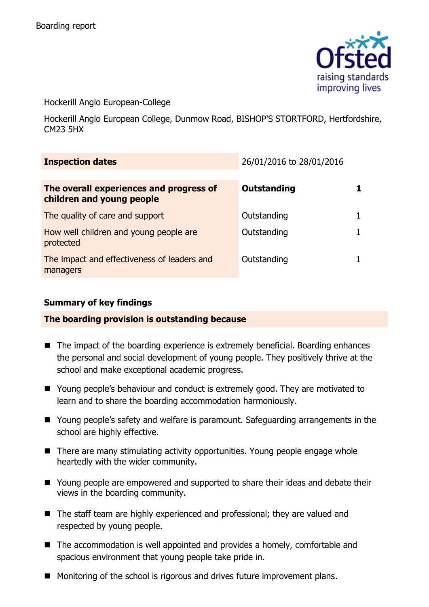

Hockerill Anglo European-College

Hockerill Anglo European College, Dunmow Road, BISHOP'S STORTFORD, Hertfordshire, CM23 5HX

| <b>Inspection dates</b>                                              | 26/01/2016 to 28/01/2016 |  |
|----------------------------------------------------------------------|--------------------------|--|
| The overall experiences and progress of<br>children and young people | <b>Outstanding</b>       |  |
| The quality of care and support                                      | Outstanding              |  |
| How well children and young people are<br>protected                  | Outstanding              |  |
| The impact and effectiveness of leaders and<br>managers              | Outstanding              |  |

# **Summary of key findings**

# **The boarding provision is outstanding because**

- The impact of the boarding experience is extremely beneficial. Boarding enhances the personal and social development of young people. They positively thrive at the school and make exceptional academic progress.
- Young people's behaviour and conduct is extremely good. They are motivated to learn and to share the boarding accommodation harmoniously.
- Young people's safety and welfare is paramount. Safeguarding arrangements in the school are highly effective.
- There are many stimulating activity opportunities. Young people engage whole heartedly with the wider community.
- Young people are empowered and supported to share their ideas and debate their views in the boarding community.
- The staff team are highly experienced and professional; they are valued and respected by young people.
- The accommodation is well appointed and provides a homely, comfortable and spacious environment that young people take pride in.
- **Monitoring of the school is rigorous and drives future improvement plans.**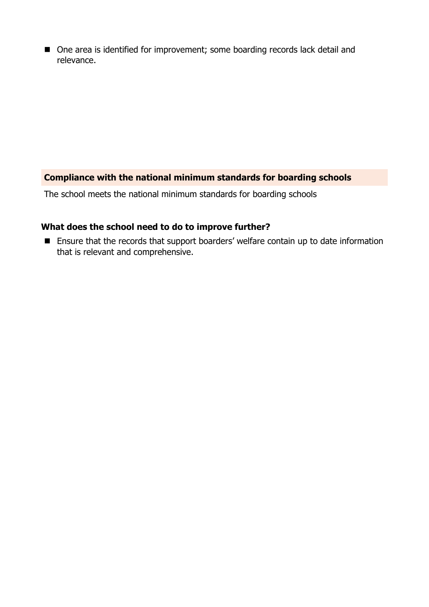■ One area is identified for improvement; some boarding records lack detail and relevance.

# **Compliance with the national minimum standards for boarding schools**

The school meets the national minimum standards for boarding schools

# **What does the school need to do to improve further?**

■ Ensure that the records that support boarders' welfare contain up to date information that is relevant and comprehensive.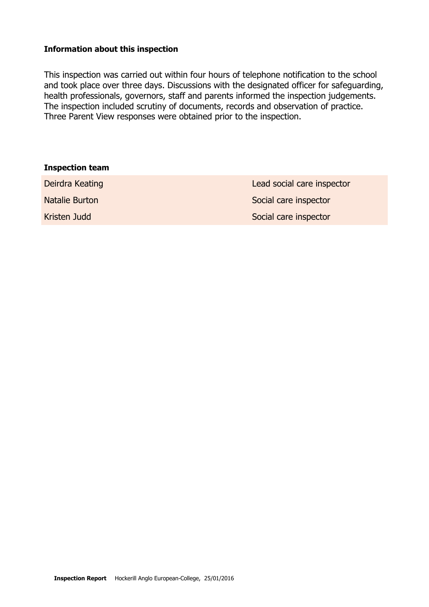#### **Information about this inspection**

This inspection was carried out within four hours of telephone notification to the school and took place over three days. Discussions with the designated officer for safeguarding, health professionals, governors, staff and parents informed the inspection judgements. The inspection included scrutiny of documents, records and observation of practice. Three Parent View responses were obtained prior to the inspection.

| <b>Inspection team</b> |                            |
|------------------------|----------------------------|
| Deirdra Keating        | Lead social care inspector |
| Natalie Burton         | Social care inspector      |
| Kristen Judd           | Social care inspector      |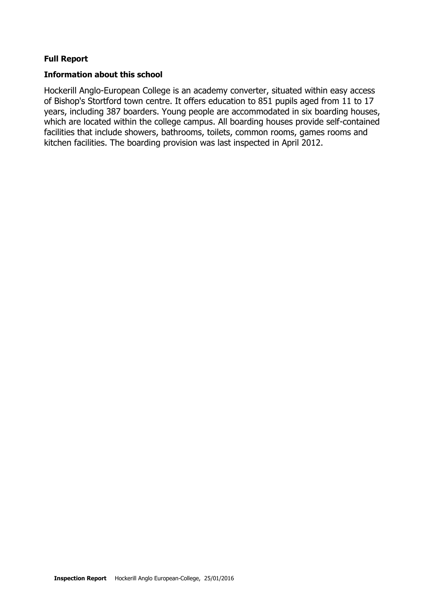#### **Full Report**

#### **Information about this school**

Hockerill Anglo-European College is an academy converter, situated within easy access of Bishop's Stortford town centre. It offers education to 851 pupils aged from 11 to 17 years, including 387 boarders. Young people are accommodated in six boarding houses, which are located within the college campus. All boarding houses provide self-contained facilities that include showers, bathrooms, toilets, common rooms, games rooms and kitchen facilities. The boarding provision was last inspected in April 2012.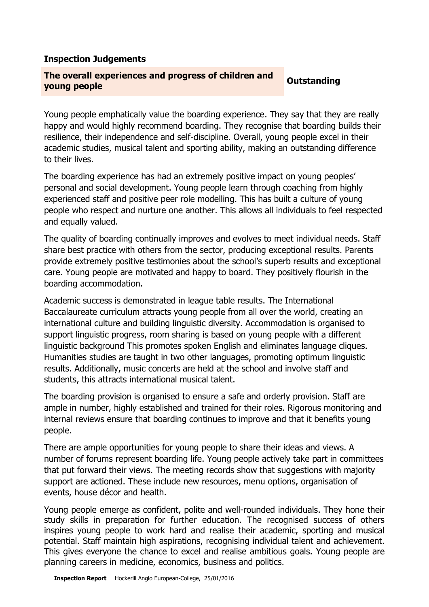### **Inspection Judgements**

#### **The overall experiences and progress of children and young people Outstanding**

Young people emphatically value the boarding experience. They say that they are really happy and would highly recommend boarding. They recognise that boarding builds their resilience, their independence and self-discipline. Overall, young people excel in their academic studies, musical talent and sporting ability, making an outstanding difference to their lives.

The boarding experience has had an extremely positive impact on young peoples' personal and social development. Young people learn through coaching from highly experienced staff and positive peer role modelling. This has built a culture of young people who respect and nurture one another. This allows all individuals to feel respected and equally valued.

The quality of boarding continually improves and evolves to meet individual needs. Staff share best practice with others from the sector, producing exceptional results. Parents provide extremely positive testimonies about the school's superb results and exceptional care. Young people are motivated and happy to board. They positively flourish in the boarding accommodation.

Academic success is demonstrated in league table results. The International Baccalaureate curriculum attracts young people from all over the world, creating an international culture and building linguistic diversity. Accommodation is organised to support linguistic progress, room sharing is based on young people with a different linguistic background This promotes spoken English and eliminates language cliques. Humanities studies are taught in two other languages, promoting optimum linguistic results. Additionally, music concerts are held at the school and involve staff and students, this attracts international musical talent.

The boarding provision is organised to ensure a safe and orderly provision. Staff are ample in number, highly established and trained for their roles. Rigorous monitoring and internal reviews ensure that boarding continues to improve and that it benefits young people.

There are ample opportunities for young people to share their ideas and views. A number of forums represent boarding life. Young people actively take part in committees that put forward their views. The meeting records show that suggestions with majority support are actioned. These include new resources, menu options, organisation of events, house décor and health.

Young people emerge as confident, polite and well-rounded individuals. They hone their study skills in preparation for further education. The recognised success of others inspires young people to work hard and realise their academic, sporting and musical potential. Staff maintain high aspirations, recognising individual talent and achievement. This gives everyone the chance to excel and realise ambitious goals. Young people are planning careers in medicine, economics, business and politics.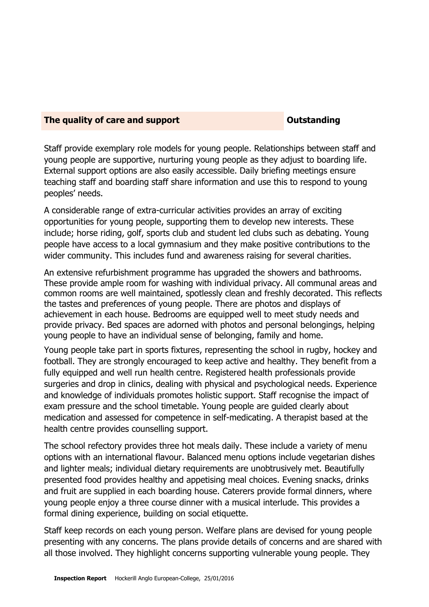#### **The quality of care and support COUTS COUTS COUTS COUTS AND THE COUTS COUTS COUTS AND THE COUTS COUTS COUTS AND THE COUTS COUTS AND THE COUTS COUTS AND THE COUTS COUTS AND THE COUTS AND THE COUTS AND THE COUTS AND THE COU**

Staff provide exemplary role models for young people. Relationships between staff and young people are supportive, nurturing young people as they adjust to boarding life. External support options are also easily accessible. Daily briefing meetings ensure teaching staff and boarding staff share information and use this to respond to young peoples' needs.

A considerable range of extra-curricular activities provides an array of exciting opportunities for young people, supporting them to develop new interests. These include; horse riding, golf, sports club and student led clubs such as debating. Young people have access to a local gymnasium and they make positive contributions to the wider community. This includes fund and awareness raising for several charities.

An extensive refurbishment programme has upgraded the showers and bathrooms. These provide ample room for washing with individual privacy. All communal areas and common rooms are well maintained, spotlessly clean and freshly decorated. This reflects the tastes and preferences of young people. There are photos and displays of achievement in each house. Bedrooms are equipped well to meet study needs and provide privacy. Bed spaces are adorned with photos and personal belongings, helping young people to have an individual sense of belonging, family and home.

Young people take part in sports fixtures, representing the school in rugby, hockey and football. They are strongly encouraged to keep active and healthy. They benefit from a fully equipped and well run health centre. Registered health professionals provide surgeries and drop in clinics, dealing with physical and psychological needs. Experience and knowledge of individuals promotes holistic support. Staff recognise the impact of exam pressure and the school timetable. Young people are guided clearly about medication and assessed for competence in self-medicating. A therapist based at the health centre provides counselling support.

The school refectory provides three hot meals daily. These include a variety of menu options with an international flavour. Balanced menu options include vegetarian dishes and lighter meals; individual dietary requirements are unobtrusively met. Beautifully presented food provides healthy and appetising meal choices. Evening snacks, drinks and fruit are supplied in each boarding house. Caterers provide formal dinners, where young people enjoy a three course dinner with a musical interlude. This provides a formal dining experience, building on social etiquette.

Staff keep records on each young person. Welfare plans are devised for young people presenting with any concerns. The plans provide details of concerns and are shared with all those involved. They highlight concerns supporting vulnerable young people. They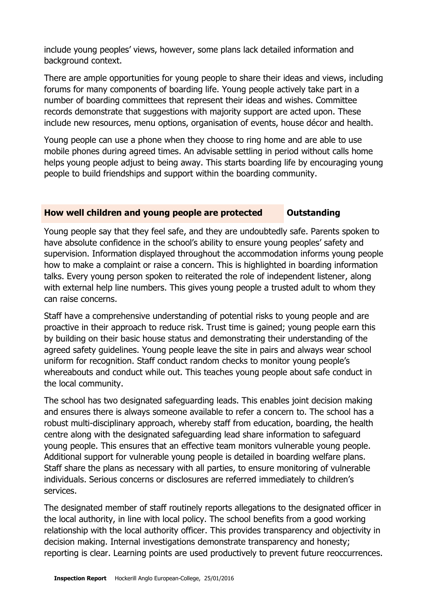include young peoples' views, however, some plans lack detailed information and background context.

There are ample opportunities for young people to share their ideas and views, including forums for many components of boarding life. Young people actively take part in a number of boarding committees that represent their ideas and wishes. Committee records demonstrate that suggestions with majority support are acted upon. These include new resources, menu options, organisation of events, house décor and health.

Young people can use a phone when they choose to ring home and are able to use mobile phones during agreed times. An advisable settling in period without calls home helps young people adjust to being away. This starts boarding life by encouraging young people to build friendships and support within the boarding community.

# **How well children and young people are protected as Outstanding**

Young people say that they feel safe, and they are undoubtedly safe. Parents spoken to have absolute confidence in the school's ability to ensure young peoples' safety and supervision. Information displayed throughout the accommodation informs young people how to make a complaint or raise a concern. This is highlighted in boarding information talks. Every young person spoken to reiterated the role of independent listener, along with external help line numbers. This gives young people a trusted adult to whom they can raise concerns.

Staff have a comprehensive understanding of potential risks to young people and are proactive in their approach to reduce risk. Trust time is gained; young people earn this by building on their basic house status and demonstrating their understanding of the agreed safety guidelines. Young people leave the site in pairs and always wear school uniform for recognition. Staff conduct random checks to monitor young people's whereabouts and conduct while out. This teaches young people about safe conduct in the local community.

The school has two designated safeguarding leads. This enables joint decision making and ensures there is always someone available to refer a concern to. The school has a robust multi-disciplinary approach, whereby staff from education, boarding, the health centre along with the designated safeguarding lead share information to safeguard young people. This ensures that an effective team monitors vulnerable young people. Additional support for vulnerable young people is detailed in boarding welfare plans. Staff share the plans as necessary with all parties, to ensure monitoring of vulnerable individuals. Serious concerns or disclosures are referred immediately to children's services.

The designated member of staff routinely reports allegations to the designated officer in the local authority, in line with local policy. The school benefits from a good working relationship with the local authority officer. This provides transparency and objectivity in decision making. Internal investigations demonstrate transparency and honesty; reporting is clear. Learning points are used productively to prevent future reoccurrences.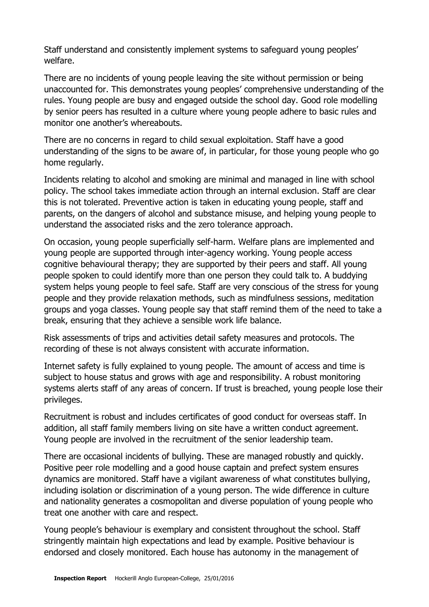Staff understand and consistently implement systems to safeguard young peoples' welfare.

There are no incidents of young people leaving the site without permission or being unaccounted for. This demonstrates young peoples' comprehensive understanding of the rules. Young people are busy and engaged outside the school day. Good role modelling by senior peers has resulted in a culture where young people adhere to basic rules and monitor one another's whereabouts.

There are no concerns in regard to child sexual exploitation. Staff have a good understanding of the signs to be aware of, in particular, for those young people who go home regularly.

Incidents relating to alcohol and smoking are minimal and managed in line with school policy. The school takes immediate action through an internal exclusion. Staff are clear this is not tolerated. Preventive action is taken in educating young people, staff and parents, on the dangers of alcohol and substance misuse, and helping young people to understand the associated risks and the zero tolerance approach.

On occasion, young people superficially self-harm. Welfare plans are implemented and young people are supported through inter-agency working. Young people access cognitive behavioural therapy; they are supported by their peers and staff. All young people spoken to could identify more than one person they could talk to. A buddying system helps young people to feel safe. Staff are very conscious of the stress for young people and they provide relaxation methods, such as mindfulness sessions, meditation groups and yoga classes. Young people say that staff remind them of the need to take a break, ensuring that they achieve a sensible work life balance.

Risk assessments of trips and activities detail safety measures and protocols. The recording of these is not always consistent with accurate information.

Internet safety is fully explained to young people. The amount of access and time is subject to house status and grows with age and responsibility. A robust monitoring systems alerts staff of any areas of concern. If trust is breached, young people lose their privileges.

Recruitment is robust and includes certificates of good conduct for overseas staff. In addition, all staff family members living on site have a written conduct agreement. Young people are involved in the recruitment of the senior leadership team.

There are occasional incidents of bullying. These are managed robustly and quickly. Positive peer role modelling and a good house captain and prefect system ensures dynamics are monitored. Staff have a vigilant awareness of what constitutes bullying, including isolation or discrimination of a young person. The wide difference in culture and nationality generates a cosmopolitan and diverse population of young people who treat one another with care and respect.

Young people's behaviour is exemplary and consistent throughout the school. Staff stringently maintain high expectations and lead by example. Positive behaviour is endorsed and closely monitored. Each house has autonomy in the management of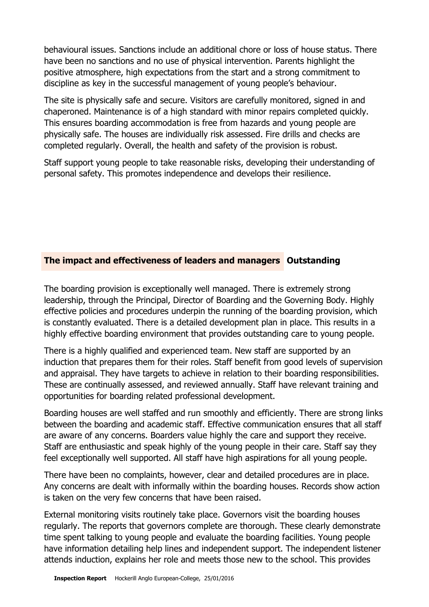behavioural issues. Sanctions include an additional chore or loss of house status. There have been no sanctions and no use of physical intervention. Parents highlight the positive atmosphere, high expectations from the start and a strong commitment to discipline as key in the successful management of young people's behaviour.

The site is physically safe and secure. Visitors are carefully monitored, signed in and chaperoned. Maintenance is of a high standard with minor repairs completed quickly. This ensures boarding accommodation is free from hazards and young people are physically safe. The houses are individually risk assessed. Fire drills and checks are completed regularly. Overall, the health and safety of the provision is robust.

Staff support young people to take reasonable risks, developing their understanding of personal safety. This promotes independence and develops their resilience.

# **The impact and effectiveness of leaders and managers Outstanding**

The boarding provision is exceptionally well managed. There is extremely strong leadership, through the Principal, Director of Boarding and the Governing Body. Highly effective policies and procedures underpin the running of the boarding provision, which is constantly evaluated. There is a detailed development plan in place. This results in a highly effective boarding environment that provides outstanding care to young people.

There is a highly qualified and experienced team. New staff are supported by an induction that prepares them for their roles. Staff benefit from good levels of supervision and appraisal. They have targets to achieve in relation to their boarding responsibilities. These are continually assessed, and reviewed annually. Staff have relevant training and opportunities for boarding related professional development.

Boarding houses are well staffed and run smoothly and efficiently. There are strong links between the boarding and academic staff. Effective communication ensures that all staff are aware of any concerns. Boarders value highly the care and support they receive. Staff are enthusiastic and speak highly of the young people in their care. Staff say they feel exceptionally well supported. All staff have high aspirations for all young people.

There have been no complaints, however, clear and detailed procedures are in place. Any concerns are dealt with informally within the boarding houses. Records show action is taken on the very few concerns that have been raised.

External monitoring visits routinely take place. Governors visit the boarding houses regularly. The reports that governors complete are thorough. These clearly demonstrate time spent talking to young people and evaluate the boarding facilities. Young people have information detailing help lines and independent support. The independent listener attends induction, explains her role and meets those new to the school. This provides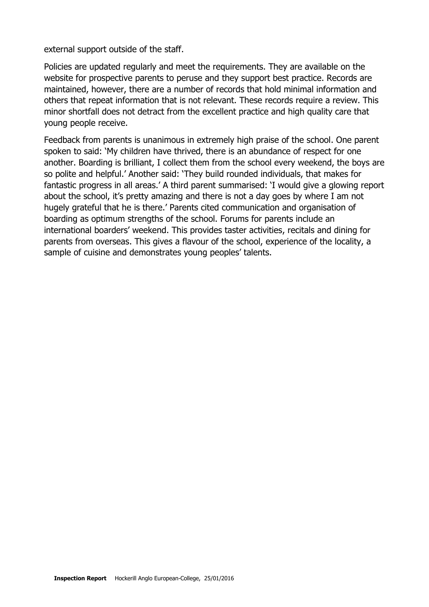external support outside of the staff.

Policies are updated regularly and meet the requirements. They are available on the website for prospective parents to peruse and they support best practice. Records are maintained, however, there are a number of records that hold minimal information and others that repeat information that is not relevant. These records require a review. This minor shortfall does not detract from the excellent practice and high quality care that young people receive.

Feedback from parents is unanimous in extremely high praise of the school. One parent spoken to said: 'My children have thrived, there is an abundance of respect for one another. Boarding is brilliant, I collect them from the school every weekend, the boys are so polite and helpful.' Another said: 'They build rounded individuals, that makes for fantastic progress in all areas.' A third parent summarised: 'I would give a glowing report about the school, it's pretty amazing and there is not a day goes by where I am not hugely grateful that he is there.' Parents cited communication and organisation of boarding as optimum strengths of the school. Forums for parents include an international boarders' weekend. This provides taster activities, recitals and dining for parents from overseas. This gives a flavour of the school, experience of the locality, a sample of cuisine and demonstrates young peoples' talents.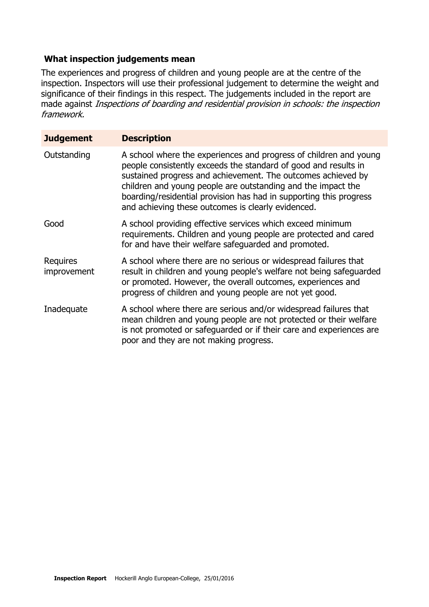# **What inspection judgements mean**

The experiences and progress of children and young people are at the centre of the inspection. Inspectors will use their professional judgement to determine the weight and significance of their findings in this respect. The judgements included in the report are made against Inspections of boarding and residential provision in schools: the inspection framework.

| <b>Judgement</b>        | <b>Description</b>                                                                                                                                                                                                                                                                                                                                                                               |
|-------------------------|--------------------------------------------------------------------------------------------------------------------------------------------------------------------------------------------------------------------------------------------------------------------------------------------------------------------------------------------------------------------------------------------------|
| Outstanding             | A school where the experiences and progress of children and young<br>people consistently exceeds the standard of good and results in<br>sustained progress and achievement. The outcomes achieved by<br>children and young people are outstanding and the impact the<br>boarding/residential provision has had in supporting this progress<br>and achieving these outcomes is clearly evidenced. |
| Good                    | A school providing effective services which exceed minimum<br>requirements. Children and young people are protected and cared<br>for and have their welfare safeguarded and promoted.                                                                                                                                                                                                            |
| Requires<br>improvement | A school where there are no serious or widespread failures that<br>result in children and young people's welfare not being safeguarded<br>or promoted. However, the overall outcomes, experiences and<br>progress of children and young people are not yet good.                                                                                                                                 |
| Inadequate              | A school where there are serious and/or widespread failures that<br>mean children and young people are not protected or their welfare<br>is not promoted or safeguarded or if their care and experiences are<br>poor and they are not making progress.                                                                                                                                           |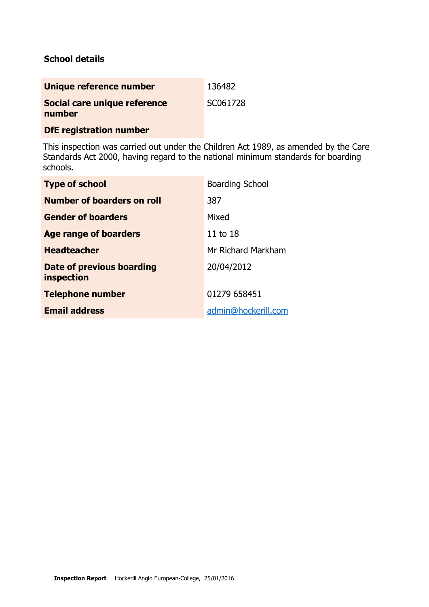# **School details**

| SC061728 |
|----------|
|          |

**DfE registration number**

This inspection was carried out under the Children Act 1989, as amended by the Care Standards Act 2000, having regard to the national minimum standards for boarding schools.

| <b>Type of school</b>                   | <b>Boarding School</b> |
|-----------------------------------------|------------------------|
| <b>Number of boarders on roll</b>       | 387                    |
| <b>Gender of boarders</b>               | Mixed                  |
| Age range of boarders                   | 11 to 18               |
| <b>Headteacher</b>                      | Mr Richard Markham     |
| Date of previous boarding<br>inspection | 20/04/2012             |
| <b>Telephone number</b>                 | 01279 658451           |
| <b>Email address</b>                    | admin@hockerill.com    |